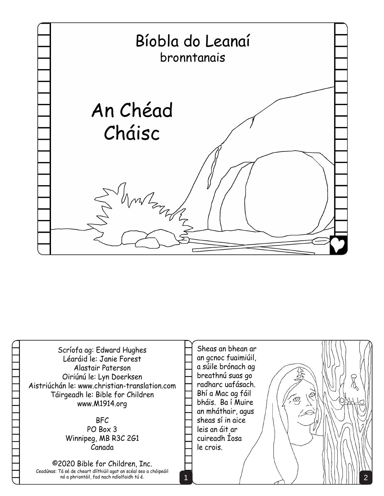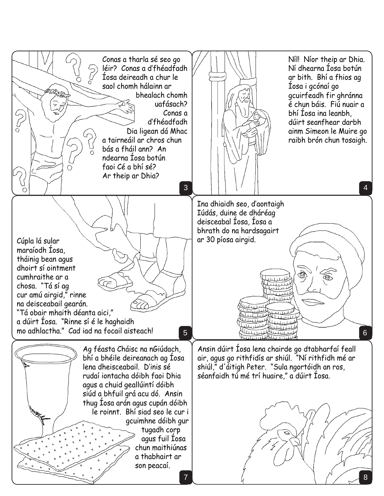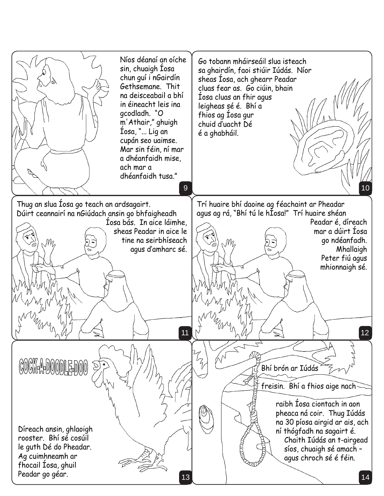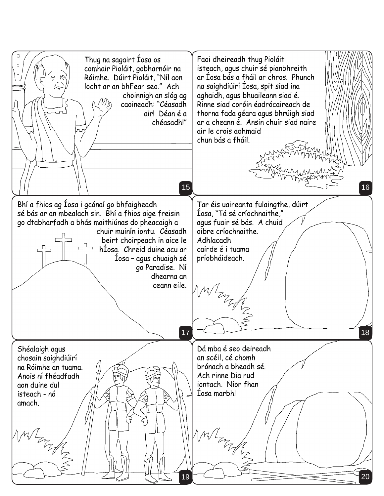